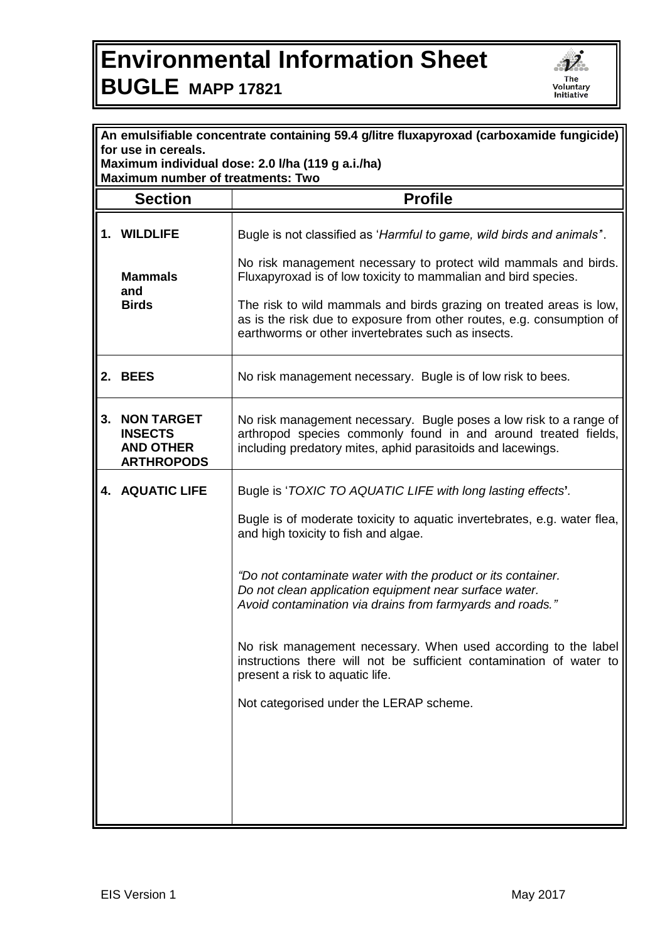## **Environmental Information Sheet BUGLE MAPP 17821**



| An emulsifiable concentrate containing 59.4 g/litre fluxapyroxad (carboxamide fungicide) |                                                                              |                                                                                                                                                                                                     |  |  |
|------------------------------------------------------------------------------------------|------------------------------------------------------------------------------|-----------------------------------------------------------------------------------------------------------------------------------------------------------------------------------------------------|--|--|
| for use in cereals.<br>Maximum individual dose: 2.0 I/ha (119 g a.i./ha)                 |                                                                              |                                                                                                                                                                                                     |  |  |
| <b>Maximum number of treatments: Two</b>                                                 |                                                                              |                                                                                                                                                                                                     |  |  |
|                                                                                          | <b>Section</b>                                                               | <b>Profile</b>                                                                                                                                                                                      |  |  |
|                                                                                          | 1. WILDLIFE                                                                  | Bugle is not classified as 'Harmful to game, wild birds and animals".                                                                                                                               |  |  |
|                                                                                          | <b>Mammals</b><br>and<br><b>Birds</b>                                        | No risk management necessary to protect wild mammals and birds.<br>Fluxapyroxad is of low toxicity to mammalian and bird species.                                                                   |  |  |
|                                                                                          |                                                                              | The risk to wild mammals and birds grazing on treated areas is low,<br>as is the risk due to exposure from other routes, e.g. consumption of<br>earthworms or other invertebrates such as insects.  |  |  |
|                                                                                          | 2. BEES                                                                      | No risk management necessary. Bugle is of low risk to bees.                                                                                                                                         |  |  |
| 3.                                                                                       | <b>NON TARGET</b><br><b>INSECTS</b><br><b>AND OTHER</b><br><b>ARTHROPODS</b> | No risk management necessary. Bugle poses a low risk to a range of<br>arthropod species commonly found in and around treated fields,<br>including predatory mites, aphid parasitoids and lacewings. |  |  |
|                                                                                          | <b>4. AQUATIC LIFE</b>                                                       | Bugle is 'TOXIC TO AQUATIC LIFE with long lasting effects'.                                                                                                                                         |  |  |
|                                                                                          |                                                                              | Bugle is of moderate toxicity to aquatic invertebrates, e.g. water flea,<br>and high toxicity to fish and algae.                                                                                    |  |  |
|                                                                                          |                                                                              | "Do not contaminate water with the product or its container.<br>Do not clean application equipment near surface water.<br>Avoid contamination via drains from farmyards and roads."                 |  |  |
|                                                                                          |                                                                              | No risk management necessary. When used according to the label<br>instructions there will not be sufficient contamination of water to<br>present a risk to aquatic life.                            |  |  |
|                                                                                          |                                                                              | Not categorised under the LERAP scheme.                                                                                                                                                             |  |  |
|                                                                                          |                                                                              |                                                                                                                                                                                                     |  |  |